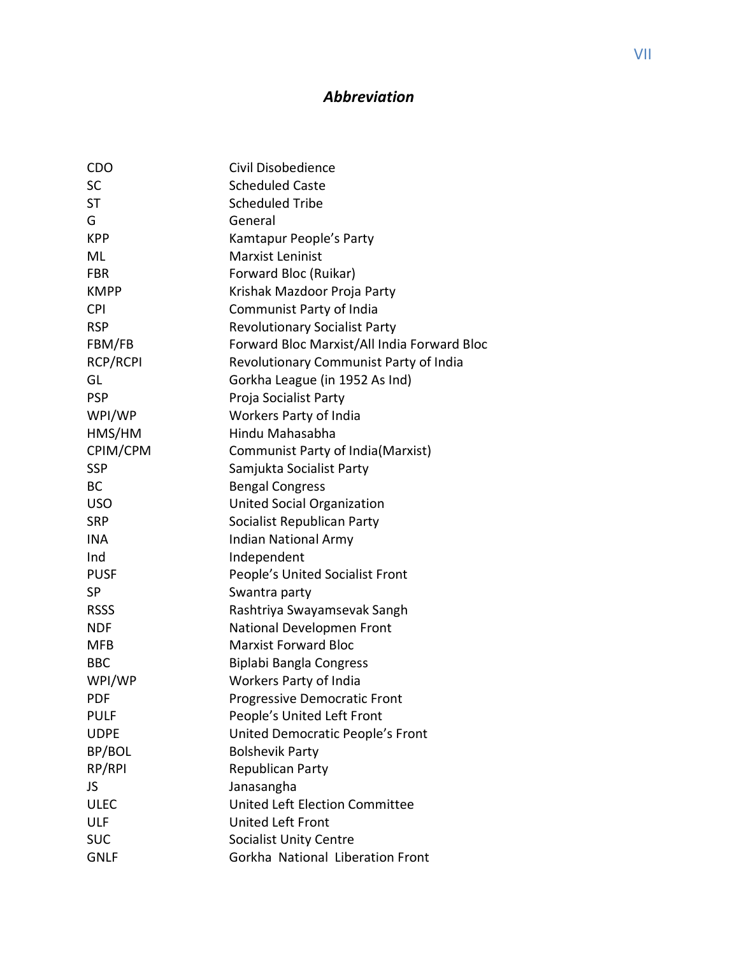## *Abbreviation*

| CDO             | Civil Disobedience                          |
|-----------------|---------------------------------------------|
| SC              | <b>Scheduled Caste</b>                      |
| <b>ST</b>       | <b>Scheduled Tribe</b>                      |
| G               | General                                     |
| <b>KPP</b>      | Kamtapur People's Party                     |
| ML              | <b>Marxist Leninist</b>                     |
| <b>FBR</b>      | Forward Bloc (Ruikar)                       |
| <b>KMPP</b>     | Krishak Mazdoor Proja Party                 |
| <b>CPI</b>      | Communist Party of India                    |
| <b>RSP</b>      | <b>Revolutionary Socialist Party</b>        |
| FBM/FB          | Forward Bloc Marxist/All India Forward Bloc |
| <b>RCP/RCPI</b> | Revolutionary Communist Party of India      |
| GL              | Gorkha League (in 1952 As Ind)              |
| <b>PSP</b>      | Proja Socialist Party                       |
| WPI/WP          | Workers Party of India                      |
| HMS/HM          | Hindu Mahasabha                             |
| CPIM/CPM        | Communist Party of India(Marxist)           |
| <b>SSP</b>      | Samjukta Socialist Party                    |
| <b>BC</b>       | <b>Bengal Congress</b>                      |
| <b>USO</b>      | <b>United Social Organization</b>           |
| <b>SRP</b>      | Socialist Republican Party                  |
| <b>INA</b>      | Indian National Army                        |
| Ind             | Independent                                 |
| <b>PUSF</b>     | People's United Socialist Front             |
| <b>SP</b>       | Swantra party                               |
| <b>RSSS</b>     | Rashtriya Swayamsevak Sangh                 |
| <b>NDF</b>      | National Developmen Front                   |
| <b>MFB</b>      | <b>Marxist Forward Bloc</b>                 |
| <b>BBC</b>      | Biplabi Bangla Congress                     |
| WPI/WP          | Workers Party of India                      |
| PDF             | Progressive Democratic Front                |
| <b>PULF</b>     | People's United Left Front                  |
| <b>UDPE</b>     | United Democratic People's Front            |
| BP/BOL          | <b>Bolshevik Party</b>                      |
| RP/RPI          | Republican Party                            |
| JS.             | Janasangha                                  |
| <b>ULEC</b>     | United Left Election Committee              |
| ULF             | United Left Front                           |
| <b>SUC</b>      | <b>Socialist Unity Centre</b>               |
| <b>GNLF</b>     | Gorkha National Liberation Front            |